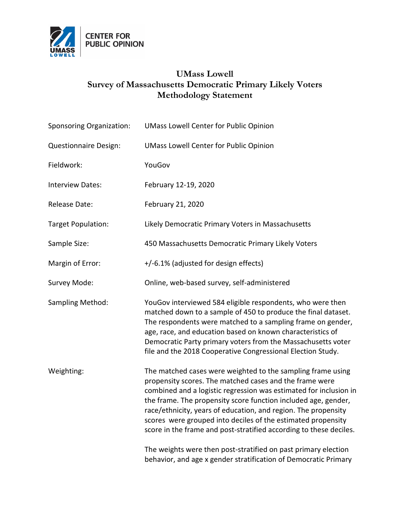

## **UMass Lowell Survey of Massachusetts Democratic Primary Likely Voters Methodology Statement**

| <b>Sponsoring Organization:</b> | <b>UMass Lowell Center for Public Opinion</b>                                                                                                                                                                                                                                                                                                                                                                                                                         |
|---------------------------------|-----------------------------------------------------------------------------------------------------------------------------------------------------------------------------------------------------------------------------------------------------------------------------------------------------------------------------------------------------------------------------------------------------------------------------------------------------------------------|
| <b>Questionnaire Design:</b>    | <b>UMass Lowell Center for Public Opinion</b>                                                                                                                                                                                                                                                                                                                                                                                                                         |
| Fieldwork:                      | YouGov                                                                                                                                                                                                                                                                                                                                                                                                                                                                |
| <b>Interview Dates:</b>         | February 12-19, 2020                                                                                                                                                                                                                                                                                                                                                                                                                                                  |
| <b>Release Date:</b>            | February 21, 2020                                                                                                                                                                                                                                                                                                                                                                                                                                                     |
| <b>Target Population:</b>       | Likely Democratic Primary Voters in Massachusetts                                                                                                                                                                                                                                                                                                                                                                                                                     |
| Sample Size:                    | 450 Massachusetts Democratic Primary Likely Voters                                                                                                                                                                                                                                                                                                                                                                                                                    |
| Margin of Error:                | +/-6.1% (adjusted for design effects)                                                                                                                                                                                                                                                                                                                                                                                                                                 |
| Survey Mode:                    | Online, web-based survey, self-administered                                                                                                                                                                                                                                                                                                                                                                                                                           |
| Sampling Method:                | YouGov interviewed 584 eligible respondents, who were then<br>matched down to a sample of 450 to produce the final dataset.<br>The respondents were matched to a sampling frame on gender,<br>age, race, and education based on known characteristics of<br>Democratic Party primary voters from the Massachusetts voter<br>file and the 2018 Cooperative Congressional Election Study.                                                                               |
| Weighting:                      | The matched cases were weighted to the sampling frame using<br>propensity scores. The matched cases and the frame were<br>combined and a logistic regression was estimated for inclusion in<br>the frame. The propensity score function included age, gender,<br>race/ethnicity, years of education, and region. The propensity<br>scores were grouped into deciles of the estimated propensity<br>score in the frame and post-stratified according to these deciles. |
|                                 | The weights were then post-stratified on past primary election<br>behavior, and age x gender stratification of Democratic Primary                                                                                                                                                                                                                                                                                                                                     |